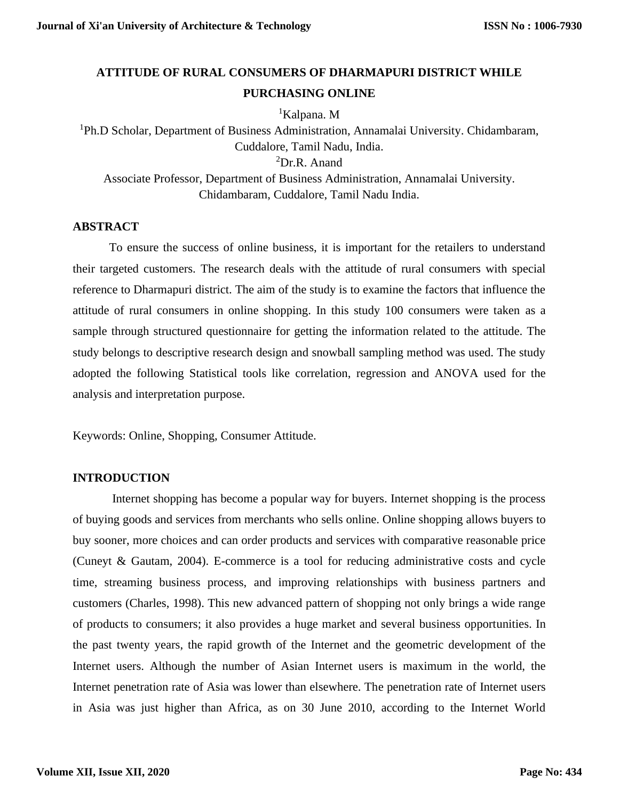# **ATTITUDE OF RURAL CONSUMERS OF DHARMAPURI DISTRICT WHILE PURCHASING ONLINE**

<sup>1</sup>Kalpana. M

<sup>1</sup>Ph.D Scholar, Department of Business Administration, Annamalai University. Chidambaram, Cuddalore, Tamil Nadu, India. <sup>2</sup>Dr.R. Anand Associate Professor, Department of Business Administration, Annamalai University. Chidambaram, Cuddalore, Tamil Nadu India.

# **ABSTRACT**

To ensure the success of online business, it is important for the retailers to understand their targeted customers. The research deals with the attitude of rural consumers with special reference to Dharmapuri district. The aim of the study is to examine the factors that influence the attitude of rural consumers in online shopping. In this study 100 consumers were taken as a sample through structured questionnaire for getting the information related to the attitude. The study belongs to descriptive research design and snowball sampling method was used. The study adopted the following Statistical tools like correlation, regression and ANOVA used for the analysis and interpretation purpose.

Keywords: Online, Shopping, Consumer Attitude.

## **INTRODUCTION**

Internet shopping has become a popular way for buyers. Internet shopping is the process of buying goods and services from merchants who sells online. Online shopping allows buyers to buy sooner, more choices and can order products and services with comparative reasonable price (Cuneyt & Gautam, 2004). E-commerce is a tool for reducing administrative costs and cycle time, streaming business process, and improving relationships with business partners and customers (Charles, 1998). This new advanced pattern of shopping not only brings a wide range of products to consumers; it also provides a huge market and several business opportunities. In the past twenty years, the rapid growth of the Internet and the geometric development of the Internet users. Although the number of Asian Internet users is maximum in the world, the Internet penetration rate of Asia was lower than elsewhere. The penetration rate of Internet users in Asia was just higher than Africa, as on 30 June 2010, according to the Internet World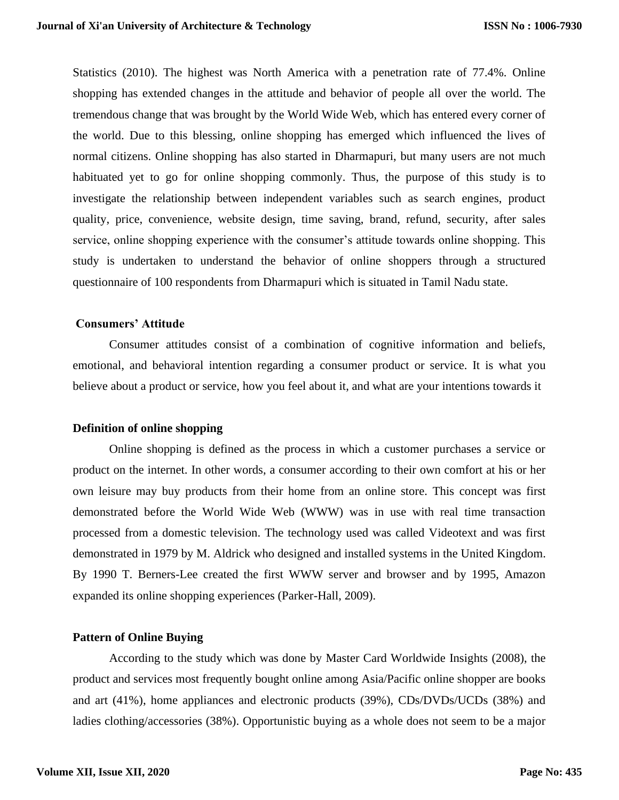Statistics (2010). The highest was North America with a penetration rate of 77.4%. Online shopping has extended changes in the attitude and behavior of people all over the world. The tremendous change that was brought by the World Wide Web, which has entered every corner of the world. Due to this blessing, online shopping has emerged which influenced the lives of normal citizens. Online shopping has also started in Dharmapuri, but many users are not much habituated yet to go for online shopping commonly. Thus, the purpose of this study is to investigate the relationship between independent variables such as search engines, product quality, price, convenience, website design, time saving, brand, refund, security, after sales service, online shopping experience with the consumer's attitude towards online shopping. This study is undertaken to understand the behavior of online shoppers through a structured questionnaire of 100 respondents from Dharmapuri which is situated in Tamil Nadu state.

## **Consumers' Attitude**

Consumer attitudes consist of a combination of cognitive information and beliefs, emotional, and behavioral intention regarding a consumer product or service. It is what you believe about a product or service, how you feel about it, and what are your intentions towards it

## **Definition of online shopping**

Online shopping is defined as the process in which a customer purchases a service or product on the internet. In other words, a consumer according to their own comfort at his or her own leisure may buy products from their home from an online store. This concept was first demonstrated before the World Wide Web (WWW) was in use with real time transaction processed from a domestic television. The technology used was called Videotext and was first demonstrated in 1979 by M. Aldrick who designed and installed systems in the United Kingdom. By 1990 T. Berners-Lee created the first WWW server and browser and by 1995, Amazon expanded its online shopping experiences (Parker-Hall, 2009).

## **Pattern of Online Buying**

According to the study which was done by Master Card Worldwide Insights (2008), the product and services most frequently bought online among Asia/Pacific online shopper are books and art (41%), home appliances and electronic products (39%), CDs/DVDs/UCDs (38%) and ladies clothing/accessories (38%). Opportunistic buying as a whole does not seem to be a major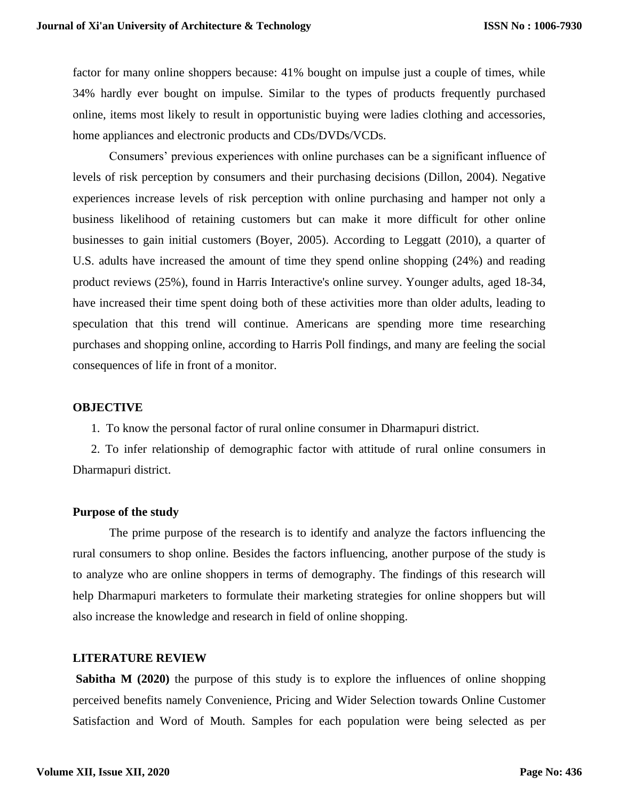factor for many online shoppers because: 41% bought on impulse just a couple of times, while 34% hardly ever bought on impulse. Similar to the types of products frequently purchased online, items most likely to result in opportunistic buying were ladies clothing and accessories, home appliances and electronic products and CDs/DVDs/VCDs.

Consumers' previous experiences with online purchases can be a significant influence of levels of risk perception by consumers and their purchasing decisions (Dillon, 2004). Negative experiences increase levels of risk perception with online purchasing and hamper not only a business likelihood of retaining customers but can make it more difficult for other online businesses to gain initial customers (Boyer, 2005). According to Leggatt (2010), a quarter of U.S. adults have increased the amount of time they spend online shopping (24%) and reading product reviews (25%), found in Harris Interactive's online survey. Younger adults, aged 18-34, have increased their time spent doing both of these activities more than older adults, leading to speculation that this trend will continue. Americans are spending more time researching purchases and shopping online, according to Harris Poll findings, and many are feeling the social consequences of life in front of a monitor.

## **OBJECTIVE**

1. To know the personal factor of rural online consumer in Dharmapuri district.

2. To infer relationship of demographic factor with attitude of rural online consumers in Dharmapuri district.

#### **Purpose of the study**

The prime purpose of the research is to identify and analyze the factors influencing the rural consumers to shop online. Besides the factors influencing, another purpose of the study is to analyze who are online shoppers in terms of demography. The findings of this research will help Dharmapuri marketers to formulate their marketing strategies for online shoppers but will also increase the knowledge and research in field of online shopping.

## **LITERATURE REVIEW**

**Sabitha M (2020)** the purpose of this study is to explore the influences of online shopping perceived benefits namely Convenience, Pricing and Wider Selection towards Online Customer Satisfaction and Word of Mouth. Samples for each population were being selected as per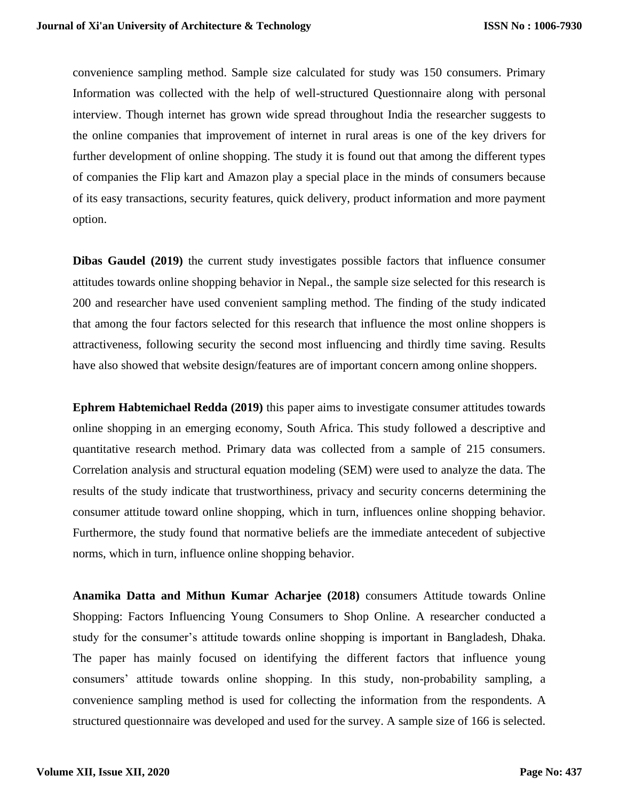convenience sampling method. Sample size calculated for study was 150 consumers. Primary Information was collected with the help of well-structured Questionnaire along with personal interview. Though internet has grown wide spread throughout India the researcher suggests to the online companies that improvement of internet in rural areas is one of the key drivers for further development of online shopping. The study it is found out that among the different types of companies the Flip kart and Amazon play a special place in the minds of consumers because of its easy transactions, security features, quick delivery, product information and more payment option.

**Dibas [Gaudel](https://www.researchgate.net/profile/Dibas_Gaudel2) (2019)** the current study investigates possible factors that influence consumer attitudes towards online shopping behavior in Nepal., the sample size selected for this research is 200 and researcher have used convenient sampling method. The finding of the study indicated that among the four factors selected for this research that influence the most online shoppers is attractiveness, following security the second most influencing and thirdly time saving. Results have also showed that website design/features are of important concern among online shoppers.

**Ephrem Habtemichael Redda (2019)** this paper aims to investigate consumer attitudes towards online shopping in an emerging economy, South Africa. This study followed a descriptive and quantitative research method. Primary data was collected from a sample of 215 consumers. Correlation analysis and structural equation modeling (SEM) were used to analyze the data. The results of the study indicate that trustworthiness, privacy and security concerns determining the consumer attitude toward online shopping, which in turn, influences online shopping behavior. Furthermore, the study found that normative beliefs are the immediate antecedent of subjective norms, which in turn, influence online shopping behavior.

**Anamika Datta and Mithun Kumar Acharjee (2018)** consumers Attitude towards Online Shopping: Factors Influencing Young Consumers to Shop Online. A researcher conducted a study for the consumer's attitude towards online shopping is important in Bangladesh, Dhaka. The paper has mainly focused on identifying the different factors that influence young consumers' attitude towards online shopping. In this study, non-probability sampling, a convenience sampling method is used for collecting the information from the respondents. A structured questionnaire was developed and used for the survey. A sample size of 166 is selected.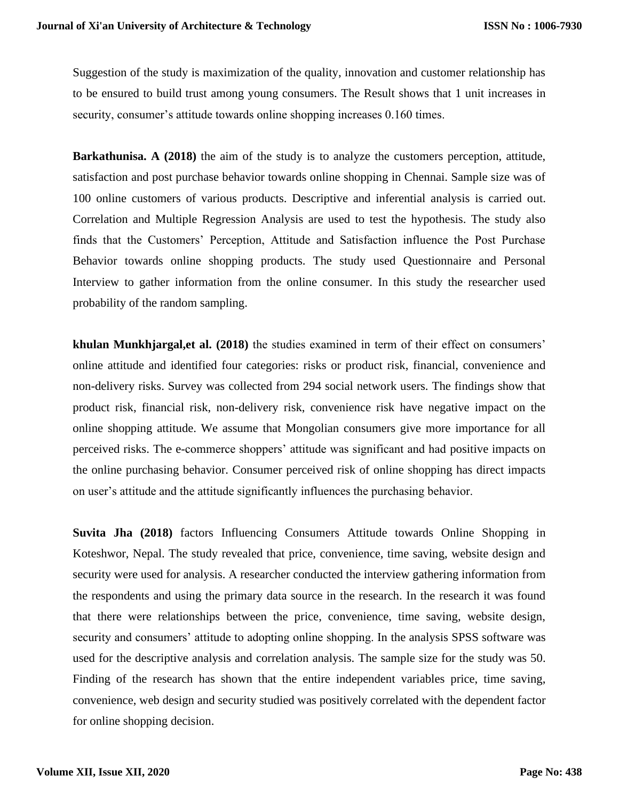Suggestion of the study is maximization of the quality, innovation and customer relationship has to be ensured to build trust among young consumers. The Result shows that 1 unit increases in security, consumer's attitude towards online shopping increases  $0.160$  times.

**Barkathunisa. A (2018)** the aim of the study is to analyze the customers perception, attitude, satisfaction and post purchase behavior towards online shopping in Chennai. Sample size was of 100 online customers of various products. Descriptive and inferential analysis is carried out. Correlation and Multiple Regression Analysis are used to test the hypothesis. The study also finds that the Customers' Perception, Attitude and Satisfaction influence the Post Purchase Behavior towards online shopping products. The study used Questionnaire and Personal Interview to gather information from the online consumer. In this study the researcher used probability of the random sampling.

**khulan Munkhjargal,et al. (2018)** the studies examined in term of their effect on consumers' online attitude and identified four categories: risks or product risk, financial, convenience and non-delivery risks. Survey was collected from 294 social network users. The findings show that product risk, financial risk, non-delivery risk, convenience risk have negative impact on the online shopping attitude. We assume that Mongolian consumers give more importance for all perceived risks. The e-commerce shoppers' attitude was significant and had positive impacts on the online purchasing behavior. Consumer perceived risk of online shopping has direct impacts on user's attitude and the attitude significantly influences the purchasing behavior.

**Suvita Jha (2018)** factors Influencing Consumers Attitude towards Online Shopping in Koteshwor, Nepal. The study revealed that price, convenience, time saving, website design and security were used for analysis. A researcher conducted the interview gathering information from the respondents and using the primary data source in the research. In the research it was found that there were relationships between the price, convenience, time saving, website design, security and consumers' attitude to adopting online shopping. In the analysis SPSS software was used for the descriptive analysis and correlation analysis. The sample size for the study was 50. Finding of the research has shown that the entire independent variables price, time saving, convenience, web design and security studied was positively correlated with the dependent factor for online shopping decision.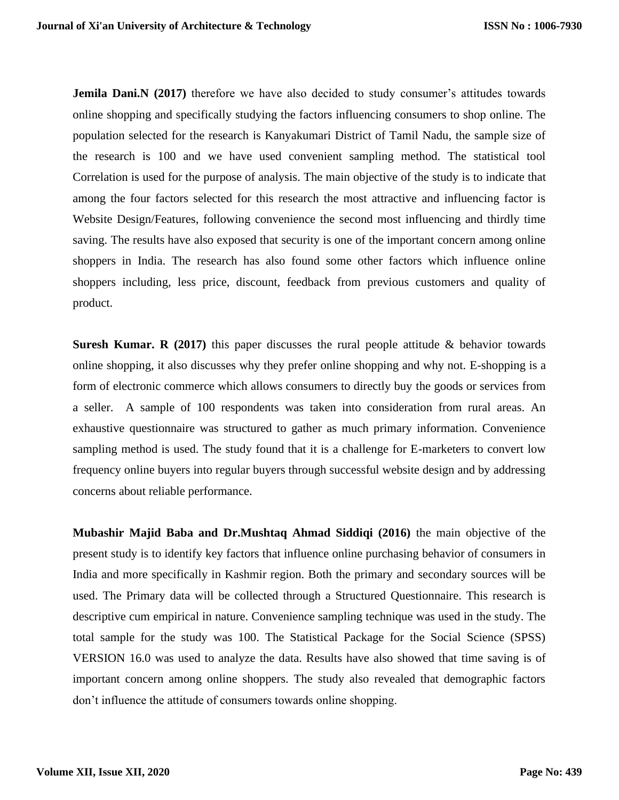**Jemila Dani.N** (2017) therefore we have also decided to study consumer's attitudes towards online shopping and specifically studying the factors influencing consumers to shop online. The population selected for the research is Kanyakumari District of Tamil Nadu, the sample size of the research is 100 and we have used convenient sampling method. The statistical tool Correlation is used for the purpose of analysis. The main objective of the study is to indicate that among the four factors selected for this research the most attractive and influencing factor is Website Design/Features, following convenience the second most influencing and thirdly time saving. The results have also exposed that security is one of the important concern among online shoppers in India. The research has also found some other factors which influence online shoppers including, less price, discount, feedback from previous customers and quality of product.

**Suresh Kumar. R (2017)** this paper discusses the rural people attitude & behavior towards online shopping, it also discusses why they prefer online shopping and why not. E-shopping is a form of electronic commerce which allows consumers to directly buy the goods or services from a seller. A sample of 100 respondents was taken into consideration from rural areas. An exhaustive questionnaire was structured to gather as much primary information. Convenience sampling method is used. The study found that it is a challenge for E-marketers to convert low frequency online buyers into regular buyers through successful website design and by addressing concerns about reliable performance.

**Mubashir Majid Baba and Dr.Mushtaq Ahmad Siddiqi (2016)** the main objective of the present study is to identify key factors that influence online purchasing behavior of consumers in India and more specifically in Kashmir region. Both the primary and secondary sources will be used. The Primary data will be collected through a Structured Questionnaire. This research is descriptive cum empirical in nature. Convenience sampling technique was used in the study. The total sample for the study was 100. The Statistical Package for the Social Science (SPSS) VERSION 16.0 was used to analyze the data. Results have also showed that time saving is of important concern among online shoppers. The study also revealed that demographic factors don't influence the attitude of consumers towards online shopping.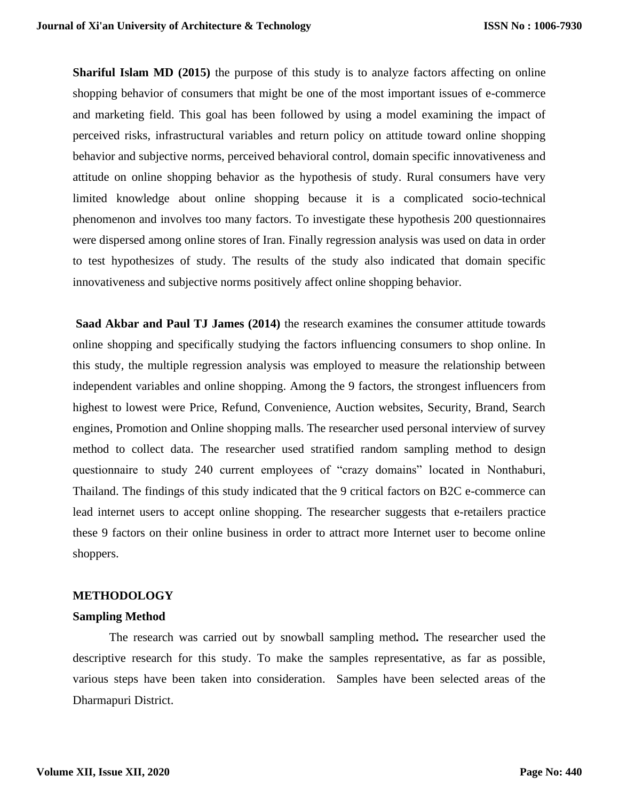**Shariful Islam MD (2015)** the purpose of this study is to analyze factors affecting on online shopping behavior of consumers that might be one of the most important issues of e-commerce and marketing field. This goal has been followed by using a model examining the impact of perceived risks, infrastructural variables and return policy on attitude toward online shopping behavior and subjective norms, perceived behavioral control, domain specific innovativeness and attitude on online shopping behavior as the hypothesis of study. Rural consumers have very limited knowledge about online shopping because it is a complicated socio-technical phenomenon and involves too many factors. To investigate these hypothesis 200 questionnaires were dispersed among online stores of Iran. Finally regression analysis was used on data in order to test hypothesizes of study. The results of the study also indicated that domain specific innovativeness and subjective norms positively affect online shopping behavior.

**Saad Akbar and Paul TJ James (2014)** the research examines the consumer attitude towards online shopping and specifically studying the factors influencing consumers to shop online. In this study, the multiple regression analysis was employed to measure the relationship between independent variables and online shopping. Among the 9 factors, the strongest influencers from highest to lowest were Price, Refund, Convenience, Auction websites, Security, Brand, Search engines, Promotion and Online shopping malls. The researcher used personal interview of survey method to collect data. The researcher used stratified random sampling method to design questionnaire to study 240 current employees of "crazy domains" located in Nonthaburi, Thailand. The findings of this study indicated that the 9 critical factors on B2C e-commerce can lead internet users to accept online shopping. The researcher suggests that e-retailers practice these 9 factors on their online business in order to attract more Internet user to become online shoppers.

# **METHODOLOGY**

# **Sampling Method**

The research was carried out by snowball sampling method**.** The researcher used the descriptive research for this study. To make the samples representative, as far as possible, various steps have been taken into consideration. Samples have been selected areas of the Dharmapuri District.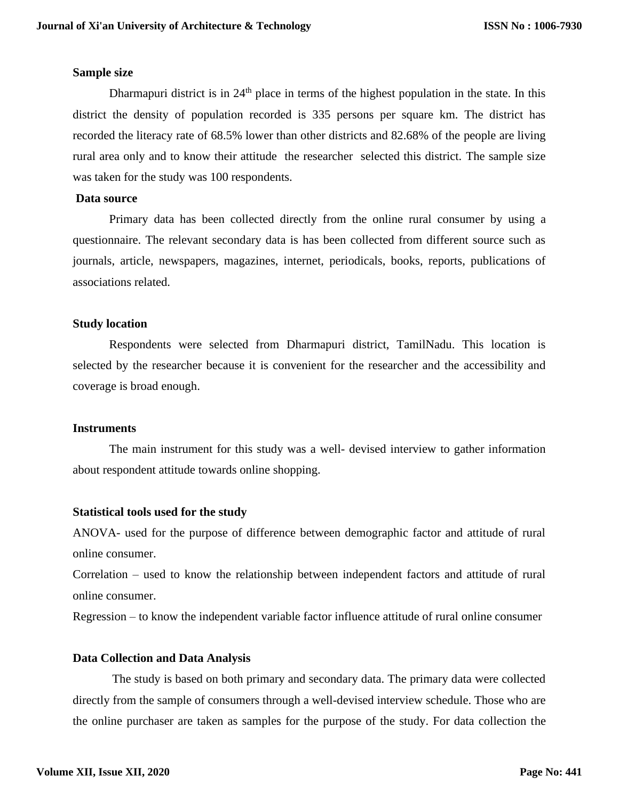## **Sample size**

Dharmapuri district is in  $24<sup>th</sup>$  place in terms of the highest population in the state. In this district the density of population recorded is 335 persons per square km. The district has recorded the literacy rate of 68.5% lower than other districts and 82.68% of the people are living rural area only and to know their attitude the researcher selected this district. The sample size was taken for the study was 100 respondents.

## **Data source**

Primary data has been collected directly from the online rural consumer by using a questionnaire. The relevant secondary data is has been collected from different source such as journals, article, newspapers, magazines, internet, periodicals, books, reports, publications of associations related.

# **Study location**

Respondents were selected from Dharmapuri district, TamilNadu. This location is selected by the researcher because it is convenient for the researcher and the accessibility and coverage is broad enough.

## **Instruments**

The main instrument for this study was a well- devised interview to gather information about respondent attitude towards online shopping.

# **Statistical tools used for the study**

ANOVA- used for the purpose of difference between demographic factor and attitude of rural online consumer.

Correlation – used to know the relationship between independent factors and attitude of rural online consumer.

Regression – to know the independent variable factor influence attitude of rural online consumer

# **Data Collection and Data Analysis**

The study is based on both primary and secondary data. The primary data were collected directly from the sample of consumers through a well-devised interview schedule. Those who are the online purchaser are taken as samples for the purpose of the study. For data collection the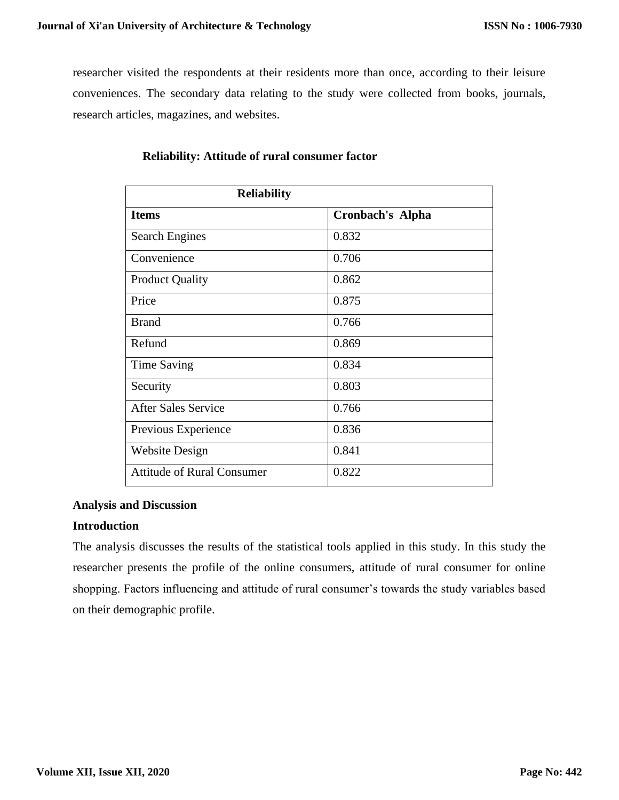researcher visited the respondents at their residents more than once, according to their leisure conveniences. The secondary data relating to the study were collected from books, journals, research articles, magazines, and websites.

| <b>Reliability</b>                |                  |
|-----------------------------------|------------------|
| <b>Items</b>                      | Cronbach's Alpha |
| <b>Search Engines</b>             | 0.832            |
| Convenience                       | 0.706            |
| <b>Product Quality</b>            | 0.862            |
| Price                             | 0.875            |
| <b>Brand</b>                      | 0.766            |
| Refund                            | 0.869            |
| Time Saving                       | 0.834            |
| Security                          | 0.803            |
| <b>After Sales Service</b>        | 0.766            |
| Previous Experience               | 0.836            |
| <b>Website Design</b>             | 0.841            |
| <b>Attitude of Rural Consumer</b> | 0.822            |

# **Reliability: Attitude of rural consumer factor**

# **Analysis and Discussion**

# **Introduction**

The analysis discusses the results of the statistical tools applied in this study. In this study the researcher presents the profile of the online consumers, attitude of rural consumer for online shopping. Factors influencing and attitude of rural consumer's towards the study variables based on their demographic profile.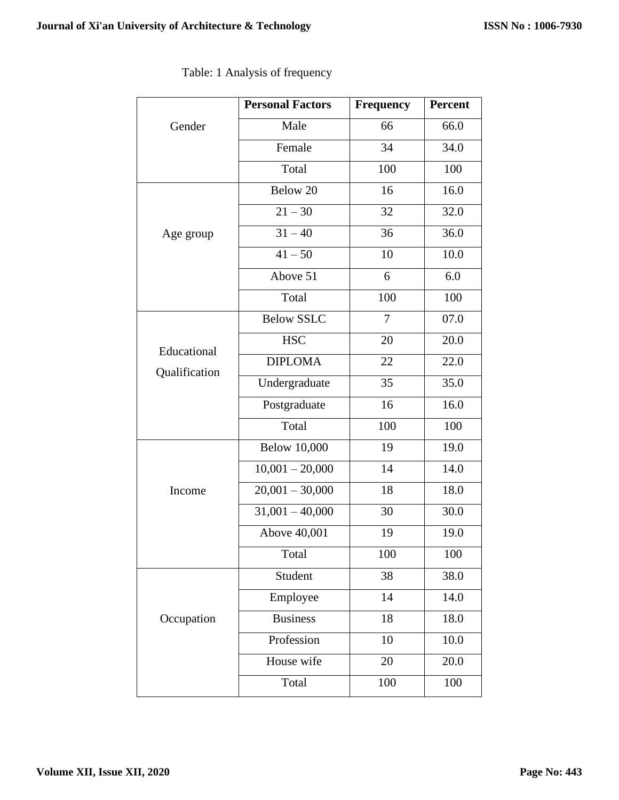|               | <b>Personal Factors</b> | <b>Frequency</b> | <b>Percent</b> |
|---------------|-------------------------|------------------|----------------|
| Gender        | Male                    | 66               | 66.0           |
|               | Female                  | 34               | 34.0           |
|               | Total                   | 100              | 100            |
|               | Below 20                | 16               | 16.0           |
|               | $21 - 30$               | 32               | 32.0           |
| Age group     | $31 - 40$               | 36               | 36.0           |
|               | $41 - 50$               | 10               | 10.0           |
|               | Above 51                | 6                | 6.0            |
|               | Total                   | 100              | 100            |
|               | <b>Below SSLC</b>       | 7                | 07.0           |
| Educational   | <b>HSC</b>              | 20               | 20.0           |
| Qualification | <b>DIPLOMA</b>          | 22               | 22.0           |
|               | Undergraduate           | 35               | 35.0           |
|               | Postgraduate            | 16               | 16.0           |
|               | Total                   | 100              | 100            |
|               | <b>Below 10,000</b>     | 19               | 19.0           |
|               | $10,001 - 20,000$       | 14               | 14.0           |
| Income        | $20,001 - 30,000$       | 18               | 18.0           |
|               | $31,001 - 40,000$       | 30               | 30.0           |
|               | Above 40,001            | 19               | 19.0           |
|               | Total                   | 100              | 100            |
|               | Student                 | 38               | 38.0           |
|               | Employee                | 14               | 14.0           |
| Occupation    | <b>Business</b>         | 18               | 18.0           |
|               | Profession              | 10               | 10.0           |
|               | House wife              | 20               | 20.0           |
|               | Total                   | 100              | 100            |

| Table: 1 Analysis of frequency |
|--------------------------------|
|--------------------------------|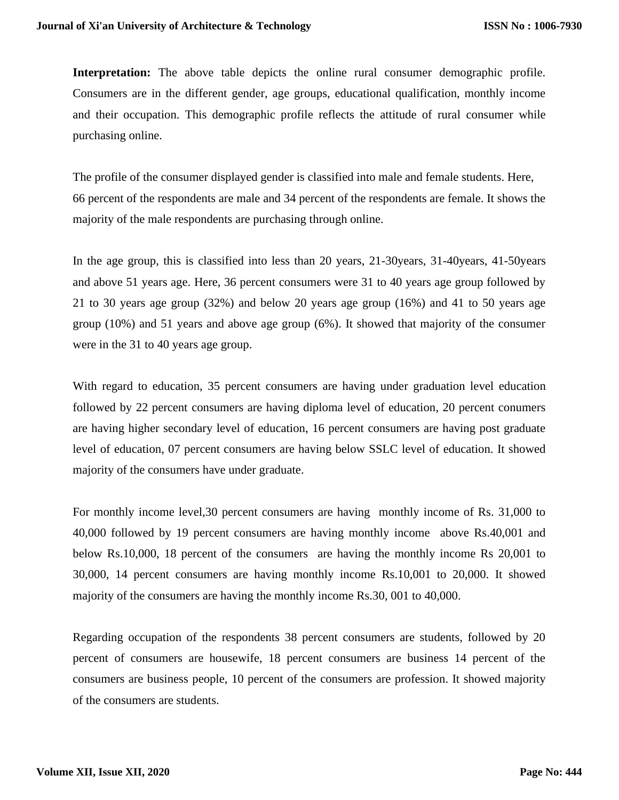Interpretation: The above table depicts the online rural consumer demographic profile. Consumers are in the different gender, age groups, educational qualification, monthly income and their occupation. This demographic profile reflects the attitude of rural consumer while purchasing online.

The profile of the consumer displayed gender is classified into male and female students. Here, 66 percent of the respondents are male and 34 percent of the respondents are female. It shows the majority of the male respondents are purchasing through online.

In the age group, this is classified into less than 20 years, 21-30years, 31-40years, 41-50years and above 51 years age. Here, 36 percent consumers were 31 to 40 years age group followed by 21 to 30 years age group (32%) and below 20 years age group (16%) and 41 to 50 years age group (10%) and 51 years and above age group (6%). It showed that majority of the consumer were in the 31 to 40 years age group.

With regard to education, 35 percent consumers are having under graduation level education followed by 22 percent consumers are having diploma level of education, 20 percent conumers are having higher secondary level of education, 16 percent consumers are having post graduate level of education, 07 percent consumers are having below SSLC level of education. It showed majority of the consumers have under graduate.

For monthly income level,30 percent consumers are having monthly income of Rs. 31,000 to 40,000 followed by 19 percent consumers are having monthly income above Rs.40,001 and below Rs.10,000, 18 percent of the consumers are having the monthly income Rs 20,001 to 30,000, 14 percent consumers are having monthly income Rs.10,001 to 20,000. It showed majority of the consumers are having the monthly income Rs.30, 001 to 40,000.

Regarding occupation of the respondents 38 percent consumers are students, followed by 20 percent of consumers are housewife, 18 percent consumers are business 14 percent of the consumers are business people, 10 percent of the consumers are profession. It showed majority of the consumers are students.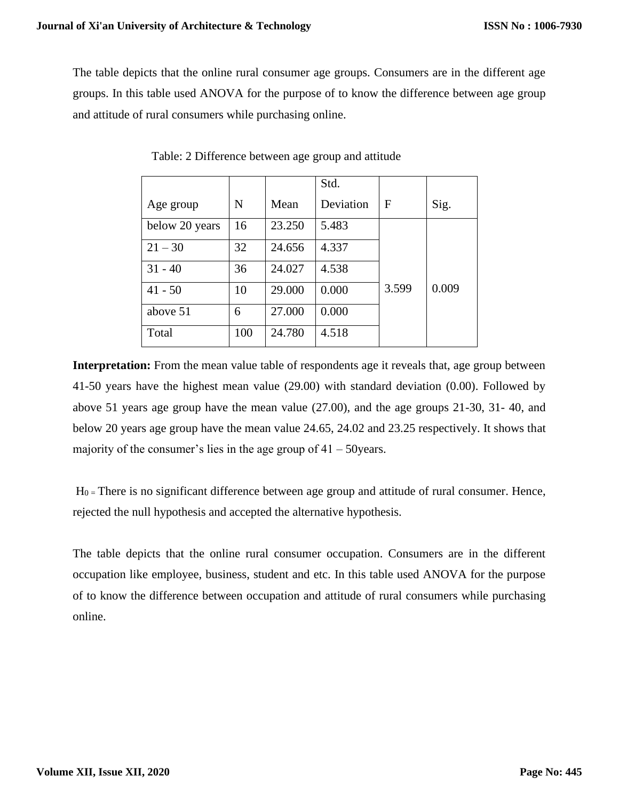The table depicts that the online rural consumer age groups. Consumers are in the different age groups. In this table used ANOVA for the purpose of to know the difference between age group and attitude of rural consumers while purchasing online.

|                |     |        | Std.      |       |       |
|----------------|-----|--------|-----------|-------|-------|
| Age group      | N   | Mean   | Deviation | F     | Sig.  |
| below 20 years | 16  | 23.250 | 5.483     |       |       |
| $21 - 30$      | 32  | 24.656 | 4.337     |       |       |
| $31 - 40$      | 36  | 24.027 | 4.538     |       |       |
| $41 - 50$      | 10  | 29.000 | 0.000     | 3.599 | 0.009 |
| above 51       | 6   | 27.000 | 0.000     |       |       |
| Total          | 100 | 24.780 | 4.518     |       |       |

Table: 2 Difference between age group and attitude

**Interpretation:** From the mean value table of respondents age it reveals that, age group between 41-50 years have the highest mean value (29.00) with standard deviation (0.00). Followed by above 51 years age group have the mean value (27.00), and the age groups 21-30, 31- 40, and below 20 years age group have the mean value 24.65, 24.02 and 23.25 respectively. It shows that majority of the consumer's lies in the age group of  $41 - 50$ years.

 $H<sub>0</sub>$  = There is no significant difference between age group and attitude of rural consumer. Hence, rejected the null hypothesis and accepted the alternative hypothesis.

The table depicts that the online rural consumer occupation. Consumers are in the different occupation like employee, business, student and etc. In this table used ANOVA for the purpose of to know the difference between occupation and attitude of rural consumers while purchasing online.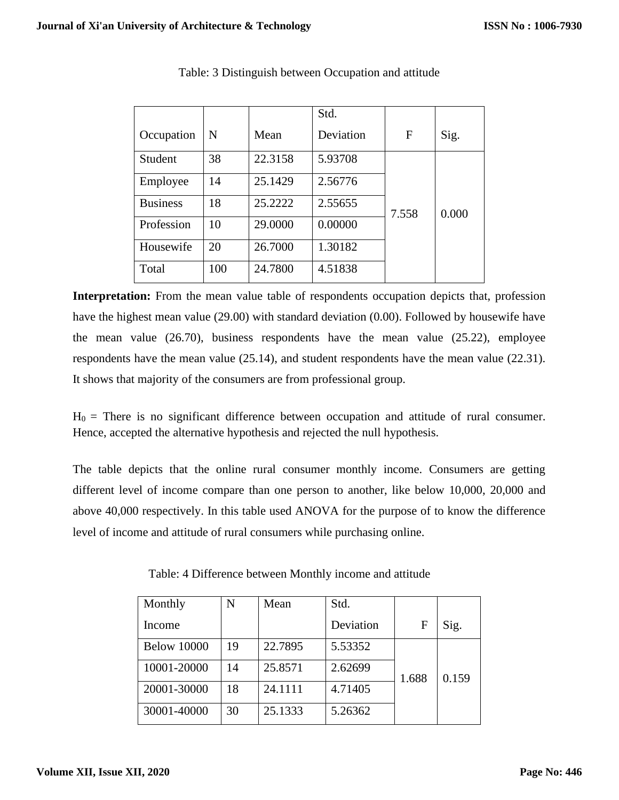|                 |     |         | Std.      |       |       |
|-----------------|-----|---------|-----------|-------|-------|
| Occupation      | N   | Mean    | Deviation | F     | Sig.  |
| Student         | 38  | 22.3158 | 5.93708   |       |       |
| Employee        | 14  | 25.1429 | 2.56776   |       |       |
| <b>Business</b> | 18  | 25.2222 | 2.55655   | 7.558 | 0.000 |
| Profession      | 10  | 29.0000 | 0.00000   |       |       |
| Housewife       | 20  | 26.7000 | 1.30182   |       |       |
| Total           | 100 | 24.7800 | 4.51838   |       |       |

# Table: 3 Distinguish between Occupation and attitude

**Interpretation:** From the mean value table of respondents occupation depicts that, profession have the highest mean value (29.00) with standard deviation (0.00). Followed by housewife have the mean value (26.70), business respondents have the mean value (25.22), employee respondents have the mean value (25.14), and student respondents have the mean value (22.31). It shows that majority of the consumers are from professional group.

 $H_0$  = There is no significant difference between occupation and attitude of rural consumer. Hence, accepted the alternative hypothesis and rejected the null hypothesis.

The table depicts that the online rural consumer monthly income. Consumers are getting different level of income compare than one person to another, like below 10,000, 20,000 and above 40,000 respectively. In this table used ANOVA for the purpose of to know the difference level of income and attitude of rural consumers while purchasing online.

| Monthly            | N  | Mean    | Std.      |       |       |
|--------------------|----|---------|-----------|-------|-------|
| Income             |    |         | Deviation | F     | Sig.  |
| <b>Below 10000</b> | 19 | 22.7895 | 5.53352   |       |       |
| 10001-20000        | 14 | 25.8571 | 2.62699   | 1.688 | 0.159 |
| 20001-30000        | 18 | 24.1111 | 4.71405   |       |       |
| 30001-40000        | 30 | 25.1333 | 5.26362   |       |       |

Table: 4 Difference between Monthly income and attitude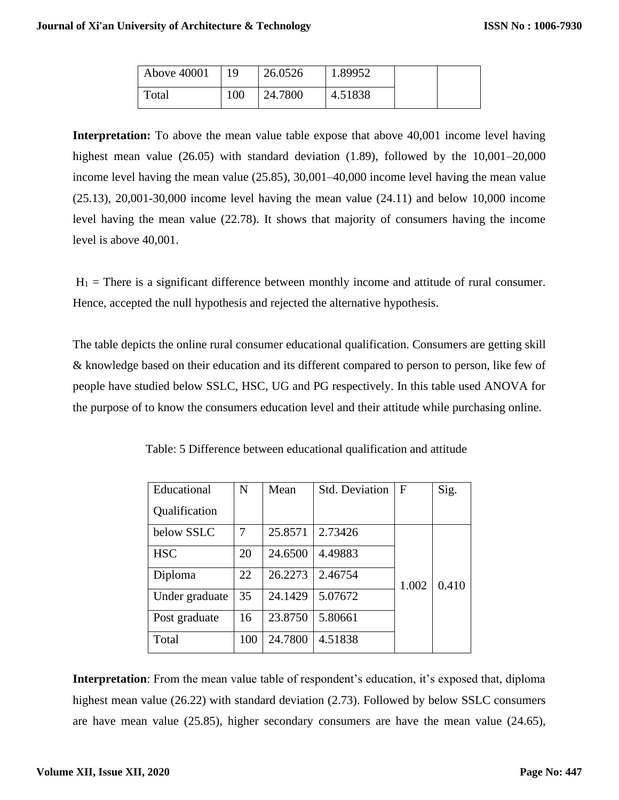| Above 40001 | 19  | 26.0526 | 1.89952 |  |
|-------------|-----|---------|---------|--|
| Total       | 100 | 24.7800 | 4.51838 |  |

**Interpretation:** To above the mean value table expose that above 40,001 income level having highest mean value (26.05) with standard deviation (1.89), followed by the 10,001–20,000 income level having the mean value (25.85), 30,001–40,000 income level having the mean value (25.13), 20,001-30,000 income level having the mean value (24.11) and below 10,000 income level having the mean value (22.78). It shows that majority of consumers having the income level is above 40,001.

 $H_1$  = There is a significant difference between monthly income and attitude of rural consumer. Hence, accepted the null hypothesis and rejected the alternative hypothesis.

The table depicts the online rural consumer educational qualification. Consumers are getting skill & knowledge based on their education and its different compared to person to person, like few of people have studied below SSLC, HSC, UG and PG respectively. In this table used ANOVA for the purpose of to know the consumers education level and their attitude while purchasing online.

| Educational    | N   | Mean    | <b>Std. Deviation</b> | $\mathbf{F}$ | Sig.  |
|----------------|-----|---------|-----------------------|--------------|-------|
| Qualification  |     |         |                       |              |       |
| below SSLC     | 7   | 25.8571 | 2.73426               |              |       |
| <b>HSC</b>     | 20  | 24.6500 | 4.49883               |              |       |
| Diploma        | 22  | 26.2273 | 2.46754               | 1.002        | 0.410 |
| Under graduate | 35  | 24.1429 | 5.07672               |              |       |
| Post graduate  | 16  | 23.8750 | 5.80661               |              |       |
| Total          | 100 | 24.7800 | 4.51838               |              |       |

Table: 5 Difference between educational qualification and attitude

**Interpretation**: From the mean value table of respondent's education, it's exposed that, diploma highest mean value (26.22) with standard deviation (2.73). Followed by below SSLC consumers are have mean value (25.85), higher secondary consumers are have the mean value (24.65),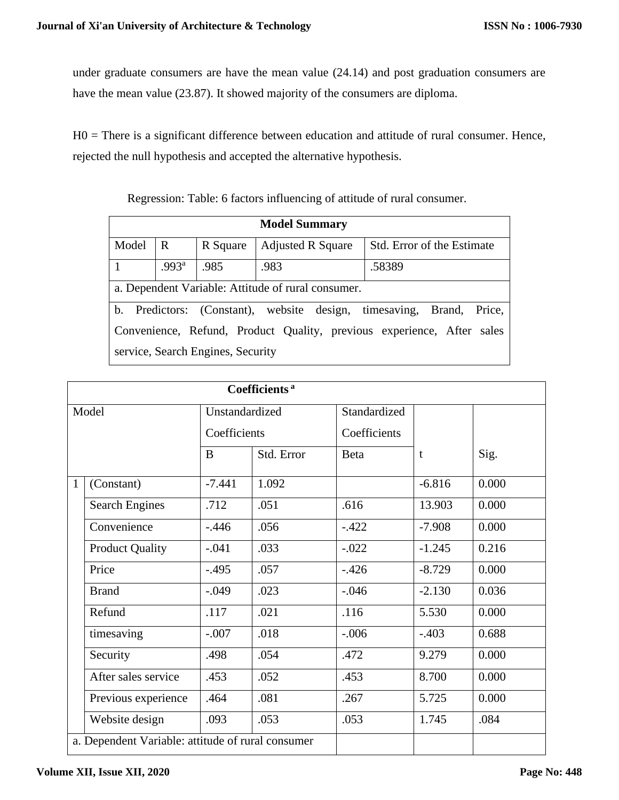under graduate consumers are have the mean value (24.14) and post graduation consumers are have the mean value (23.87). It showed majority of the consumers are diploma.

H0 = There is a significant difference between education and attitude of rural consumer. Hence, rejected the null hypothesis and accepted the alternative hypothesis.

| <b>Model Summary</b>                                                   |                                                                      |                                   |                          |                            |  |  |
|------------------------------------------------------------------------|----------------------------------------------------------------------|-----------------------------------|--------------------------|----------------------------|--|--|
| Model                                                                  | R                                                                    | R Square                          | <b>Adjusted R Square</b> | Std. Error of the Estimate |  |  |
| .993 <sup>a</sup><br>.985<br>.983<br>.58389                            |                                                                      |                                   |                          |                            |  |  |
|                                                                        | a. Dependent Variable: Attitude of rural consumer.                   |                                   |                          |                            |  |  |
|                                                                        | b. Predictors: (Constant), website design, timesaving, Brand, Price, |                                   |                          |                            |  |  |
| Convenience, Refund, Product Quality, previous experience, After sales |                                                                      |                                   |                          |                            |  |  |
|                                                                        |                                                                      | service, Search Engines, Security |                          |                            |  |  |

Regression: Table: 6 factors influencing of attitude of rural consumer.

|              | Coefficients <sup>a</sup>                         |                |            |              |          |       |  |
|--------------|---------------------------------------------------|----------------|------------|--------------|----------|-------|--|
|              | Model                                             | Unstandardized |            | Standardized |          |       |  |
|              |                                                   | Coefficients   |            | Coefficients |          |       |  |
|              |                                                   | B              | Std. Error | <b>Beta</b>  | t        | Sig.  |  |
| $\mathbf{1}$ | (Constant)                                        | $-7.441$       | 1.092      |              | $-6.816$ | 0.000 |  |
|              | <b>Search Engines</b>                             | .712           | .051       | .616         | 13.903   | 0.000 |  |
|              | Convenience                                       | $-.446$        | .056       | $-.422$      | $-7.908$ | 0.000 |  |
|              | <b>Product Quality</b>                            | $-.041$        | .033       | $-.022$      | $-1.245$ | 0.216 |  |
|              | Price                                             | $-.495$        | .057       | $-.426$      | $-8.729$ | 0.000 |  |
|              | <b>Brand</b>                                      | $-.049$        | .023       | $-.046$      | $-2.130$ | 0.036 |  |
|              | Refund                                            | .117           | .021       | .116         | 5.530    | 0.000 |  |
|              | timesaving                                        | $-.007$        | .018       | $-.006$      | $-.403$  | 0.688 |  |
|              | Security                                          | .498           | .054       | .472         | 9.279    | 0.000 |  |
|              | After sales service                               | .453           | .052       | .453         | 8.700    | 0.000 |  |
|              | Previous experience                               | .464           | .081       | .267         | 5.725    | 0.000 |  |
|              | Website design                                    | .093           | .053       | .053         | 1.745    | .084  |  |
|              | a. Dependent Variable: attitude of rural consumer |                |            |              |          |       |  |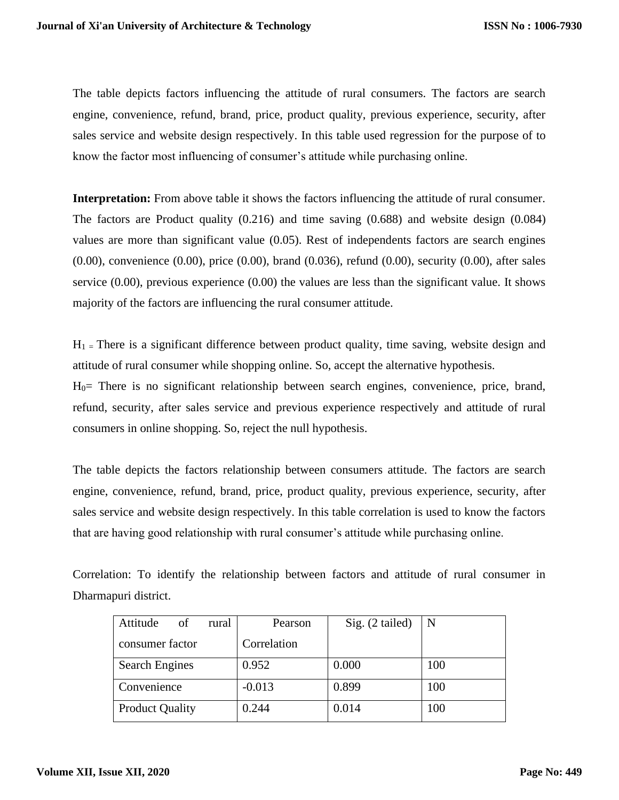The table depicts factors influencing the attitude of rural consumers. The factors are search engine, convenience, refund, brand, price, product quality, previous experience, security, after sales service and website design respectively. In this table used regression for the purpose of to know the factor most influencing of consumer's attitude while purchasing online.

**Interpretation:** From above table it shows the factors influencing the attitude of rural consumer. The factors are Product quality (0.216) and time saving (0.688) and website design (0.084) values are more than significant value (0.05). Rest of independents factors are search engines (0.00), convenience (0.00), price (0.00), brand (0.036), refund (0.00), security (0.00), after sales service (0.00), previous experience (0.00) the values are less than the significant value. It shows majority of the factors are influencing the rural consumer attitude.

 $H_1$  = There is a significant difference between product quality, time saving, website design and attitude of rural consumer while shopping online. So, accept the alternative hypothesis.

H0= There is no significant relationship between search engines, convenience, price, brand, refund, security, after sales service and previous experience respectively and attitude of rural consumers in online shopping. So, reject the null hypothesis.

The table depicts the factors relationship between consumers attitude. The factors are search engine, convenience, refund, brand, price, product quality, previous experience, security, after sales service and website design respectively. In this table correlation is used to know the factors that are having good relationship with rural consumer's attitude while purchasing online.

Correlation: To identify the relationship between factors and attitude of rural consumer in Dharmapuri district.

| Attitude<br>of         | rural | Pearson     | Sig. (2 tailed) | N   |
|------------------------|-------|-------------|-----------------|-----|
| consumer factor        |       | Correlation |                 |     |
| <b>Search Engines</b>  |       | 0.952       | 0.000           | 100 |
| Convenience            |       | $-0.013$    | 0.899           | 100 |
| <b>Product Quality</b> |       | 0.244       | 0.014           | 100 |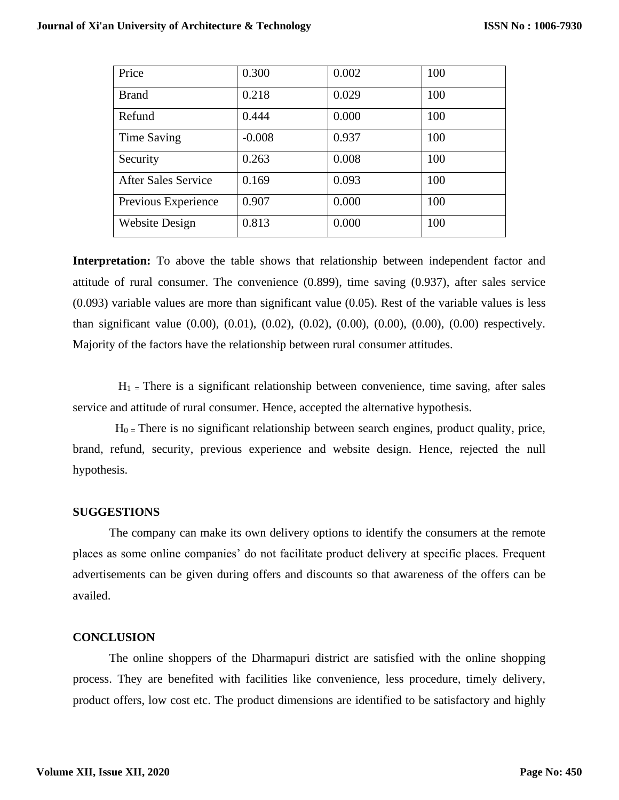| Price                      | 0.300    | 0.002 | 100 |
|----------------------------|----------|-------|-----|
| <b>Brand</b>               | 0.218    | 0.029 | 100 |
| Refund                     | 0.444    | 0.000 | 100 |
| Time Saving                | $-0.008$ | 0.937 | 100 |
| Security                   | 0.263    | 0.008 | 100 |
| <b>After Sales Service</b> | 0.169    | 0.093 | 100 |
| Previous Experience        | 0.907    | 0.000 | 100 |
| <b>Website Design</b>      | 0.813    | 0.000 | 100 |

**Interpretation:** To above the table shows that relationship between independent factor and attitude of rural consumer. The convenience (0.899), time saving (0.937), after sales service  $(0.093)$  variable values are more than significant value  $(0.05)$ . Rest of the variable values is less than significant value (0.00), (0.01), (0.02), (0.02), (0.00), (0.00), (0.00), (0.00) respectively. Majority of the factors have the relationship between rural consumer attitudes.

 $H_1$  = There is a significant relationship between convenience, time saving, after sales service and attitude of rural consumer. Hence, accepted the alternative hypothesis.

 $H_0$  = There is no significant relationship between search engines, product quality, price, brand, refund, security, previous experience and website design. Hence, rejected the null hypothesis.

## **SUGGESTIONS**

The company can make its own delivery options to identify the consumers at the remote places as some online companies' do not facilitate product delivery at specific places. Frequent advertisements can be given during offers and discounts so that awareness of the offers can be availed.

# **CONCLUSION**

The online shoppers of the Dharmapuri district are satisfied with the online shopping process. They are benefited with facilities like convenience, less procedure, timely delivery, product offers, low cost etc. The product dimensions are identified to be satisfactory and highly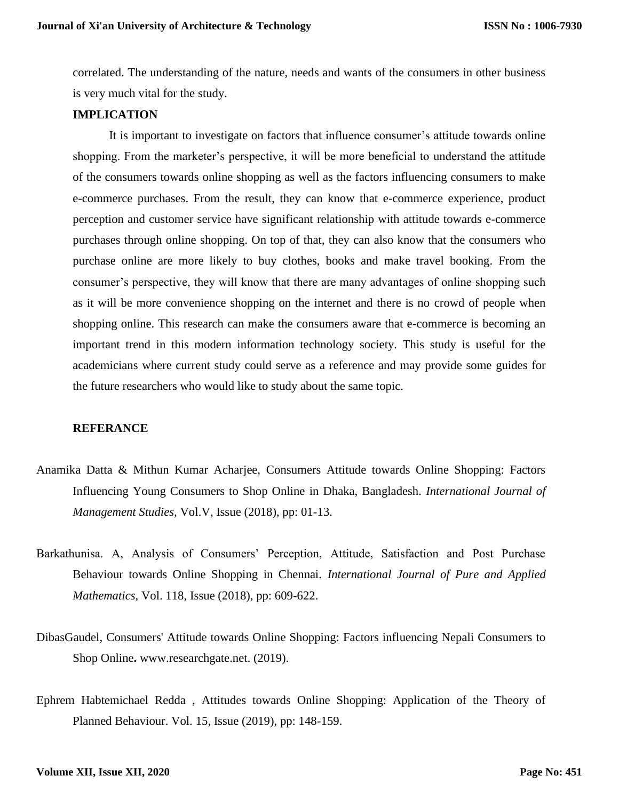correlated. The understanding of the nature, needs and wants of the consumers in other business is very much vital for the study.

## **IMPLICATION**

It is important to investigate on factors that influence consumer's attitude towards online shopping. From the marketer's perspective, it will be more beneficial to understand the attitude of the consumers towards online shopping as well as the factors influencing consumers to make e-commerce purchases. From the result, they can know that e-commerce experience, product perception and customer service have significant relationship with attitude towards e-commerce purchases through online shopping. On top of that, they can also know that the consumers who purchase online are more likely to buy clothes, books and make travel booking. From the consumer's perspective, they will know that there are many advantages of online shopping such as it will be more convenience shopping on the internet and there is no crowd of people when shopping online. This research can make the consumers aware that e-commerce is becoming an important trend in this modern information technology society. This study is useful for the academicians where current study could serve as a reference and may provide some guides for the future researchers who would like to study about the same topic.

# **REFERANCE**

- Anamika Datta & Mithun Kumar Acharjee, Consumers Attitude towards Online Shopping: Factors Influencing Young Consumers to Shop Online in Dhaka, Bangladesh. *International Journal of Management Studies,* Vol.V, Issue (2018), pp: 01-13.
- Barkathunisa. A, Analysis of Consumers' Perception, Attitude, Satisfaction and Post Purchase Behaviour towards Online Shopping in Chennai. *International Journal of Pure and Applied Mathematics,* Vol. 118, Issue (2018), pp: 609-622.
- [DibasGaudel,](https://www.researchgate.net/profile/Dibas_Gaudel2) Consumers' Attitude towards Online Shopping: Factors influencing Nepali Consumers to Shop Online**.** www.researchgate.net. (2019).
- Ephrem Habtemichael Redda , Attitudes towards Online Shopping: Application of the Theory of Planned Behaviour. Vol. 15, Issue (2019), pp: 148-159.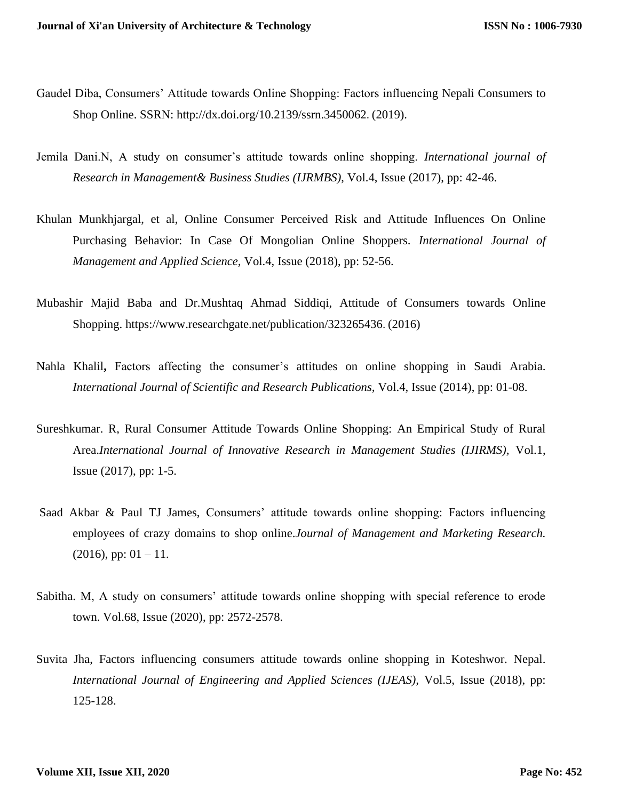- Gaudel Diba, Consumers' Attitude towards Online Shopping: Factors influencing Nepali Consumers to Shop Online. SSRN: [http://dx.doi.org/10.2139/ssrn.3450062](https://dx.doi.org/10.2139/ssrn.3450062). (2019).
- Jemila Dani.N, A study on consumer's attitude towards online shopping. *International journal of Research in Management& Business Studies (IJRMBS)*, Vol.4, Issue (2017), pp: 42-46.
- Khulan Munkhjargal, et al, Online Consumer Perceived Risk and Attitude Influences On Online Purchasing Behavior: In Case Of Mongolian Online Shoppers. *International Journal of Management and Applied Science,* Vol.4, Issue (2018), pp: 52-56.
- Mubashir Majid Baba and Dr.Mushtaq Ahmad Siddiqi, Attitude of Consumers towards Online Shopping.<https://www.researchgate.net/publication/323265436>. (2016)
- Nahla Khalil**,** Factors affecting the consumer's attitudes on online shopping in Saudi Arabia. *International Journal of Scientific and Research Publications,* Vol.4, Issue (2014), pp: 01-08.
- Sureshkumar. R, Rural Consumer Attitude Towards Online Shopping: An Empirical Study of Rural Area.*International Journal of Innovative Research in Management Studies (IJIRMS),* Vol.1, Issue (2017), pp: 1-5.
- Saad Akbar & Paul TJ James, Consumers' attitude towards online shopping: Factors influencing employees of crazy domains to shop online.*Journal of Management and Marketing Research.*  $(2016)$ , pp:  $01 - 11$ .
- Sabitha. M, A study on consumers' attitude towards online shopping with special reference to erode town. Vol.68, Issue (2020), pp: 2572-2578.
- Suvita Jha, Factors influencing consumers attitude towards online shopping in Koteshwor. Nepal. *International Journal of Engineering and Applied Sciences (IJEAS),* Vol.5, Issue (2018), pp: 125-128.